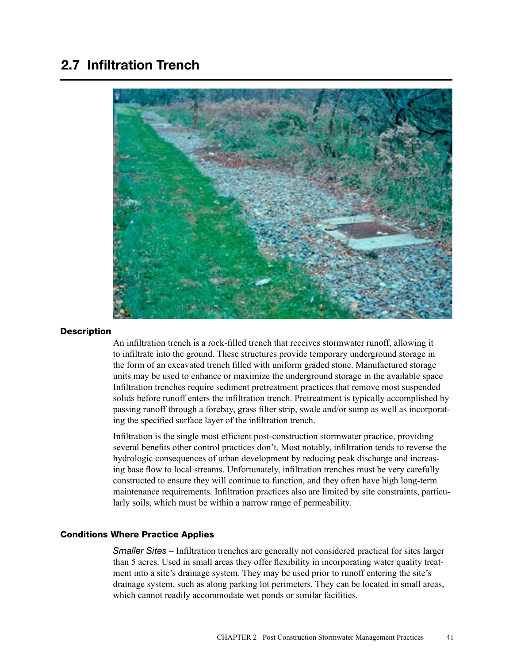# 2.7 Infiltration Trench



### **Description**

An infiltration trench is a rock-filled trench that receives stormwater runoff, allowing it to infiltrate into the ground. These structures provide temporary underground storage in the form of an excavated trench filled with uniform graded stone. Manufactured storage units may be used to enhance or maximize the underground storage in the available space Infiltration trenches require sediment pretreatment practices that remove most suspended solids before runoff enters the infiltration trench. Pretreatment is typically accomplished by passing runoff through a forebay, grass filter strip, swale and/or sump as well as incorporating the specified surface layer of the infiltration trench.

Infiltration is the single most efficient post-construction stormwater practice, providing several benefits other control practices don't. Most notably, infiltration tends to reverse the hydrologic consequences of urban development by reducing peak discharge and increasing base flow to local streams. Unfortunately, infiltration trenches must be very carefully constructed to ensure they will continue to function, and they often have high long-term maintenance requirements. Infiltration practices also are limited by site constraints, particularly soils, which must be within a narrow range of permeability.

## Conditions Where Practice Applies

*Smaller Sites –* Infiltration trenches are generally not considered practical for sites larger than 5 acres. Used in small areas they offer flexibility in incorporating water quality treatment into a site's drainage system. They may be used prior to runoff entering the site's drainage system, such as along parking lot perimeters. They can be located in small areas, which cannot readily accommodate wet ponds or similar facilities.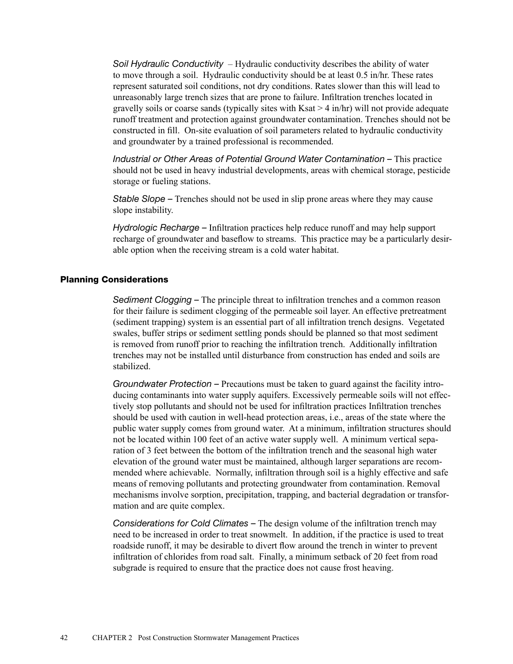*Soil Hydraulic Conductivity* – Hydraulic conductivity describes the ability of water to move through a soil. Hydraulic conductivity should be at least 0.5 in/hr. These rates represent saturated soil conditions, not dry conditions. Rates slower than this will lead to unreasonably large trench sizes that are prone to failure. Infiltration trenches located in gravelly soils or coarse sands (typically sites with  $K$ sat > 4 in/hr) will not provide adequate runoff treatment and protection against groundwater contamination. Trenches should not be constructed in fill. On-site evaluation of soil parameters related to hydraulic conductivity and groundwater by a trained professional is recommended.

*Industrial or Other Areas of Potential Ground Water Contamination –* This practice should not be used in heavy industrial developments, areas with chemical storage, pesticide storage or fueling stations.

*Stable Slope –* Trenches should not be used in slip prone areas where they may cause slope instability.

*Hydrologic Recharge –* Infiltration practices help reduce runoff and may help support recharge of groundwater and baseflow to streams. This practice may be a particularly desirable option when the receiving stream is a cold water habitat.

## Planning Considerations

*Sediment Clogging –* The principle threat to infiltration trenches and a common reason for their failure is sediment clogging of the permeable soil layer. An effective pretreatment (sediment trapping) system is an essential part of all infiltration trench designs. Vegetated swales, buffer strips or sediment settling ponds should be planned so that most sediment is removed from runoff prior to reaching the infiltration trench. Additionally infiltration trenches may not be installed until disturbance from construction has ended and soils are stabilized.

*Groundwater Protection –* Precautions must be taken to guard against the facility introducing contaminants into water supply aquifers. Excessively permeable soils will not effectively stop pollutants and should not be used for infiltration practices Infiltration trenches should be used with caution in well-head protection areas, i.e., areas of the state where the public water supply comes from ground water. At a minimum, infiltration structures should not be located within 100 feet of an active water supply well. A minimum vertical separation of 3 feet between the bottom of the infiltration trench and the seasonal high water elevation of the ground water must be maintained, although larger separations are recommended where achievable. Normally, infiltration through soil is a highly effective and safe means of removing pollutants and protecting groundwater from contamination. Removal mechanisms involve sorption, precipitation, trapping, and bacterial degradation or transformation and are quite complex.

*Considerations for Cold Climates –* The design volume of the infiltration trench may need to be increased in order to treat snowmelt. In addition, if the practice is used to treat roadside runoff, it may be desirable to divert flow around the trench in winter to prevent infiltration of chlorides from road salt. Finally, a minimum setback of 20 feet from road subgrade is required to ensure that the practice does not cause frost heaving.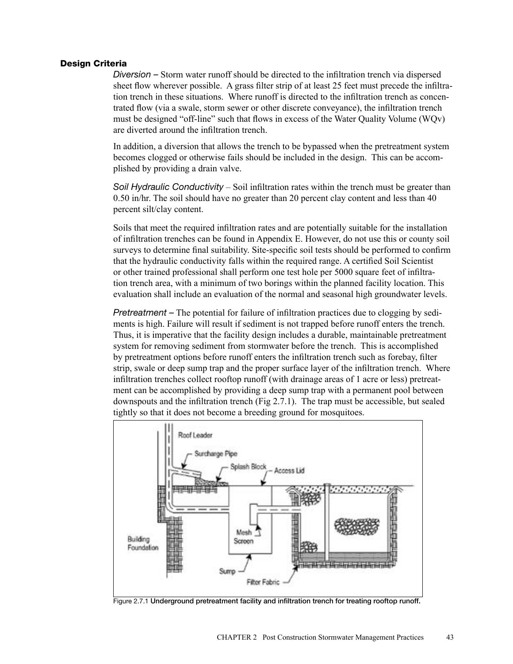## Design Criteria

*Diversion –* Storm water runoff should be directed to the infiltration trench via dispersed sheet flow wherever possible. A grass filter strip of at least 25 feet must precede the infiltration trench in these situations. Where runoff is directed to the infiltration trench as concentrated flow (via a swale, storm sewer or other discrete conveyance), the infiltration trench must be designed "off-line" such that flows in excess of the Water Quality Volume (WQv) are diverted around the infiltration trench.

In addition, a diversion that allows the trench to be bypassed when the pretreatment system becomes clogged or otherwise fails should be included in the design. This can be accomplished by providing a drain valve.

*Soil Hydraulic Conductivity* – Soil infiltration rates within the trench must be greater than 0.50 in/hr. The soil should have no greater than 20 percent clay content and less than 40 percent silt/clay content.

Soils that meet the required infiltration rates and are potentially suitable for the installation of infiltration trenches can be found in Appendix E. However, do not use this or county soil surveys to determine final suitability. Site-specific soil tests should be performed to confirm that the hydraulic conductivity falls within the required range. A certified Soil Scientist or other trained professional shall perform one test hole per 5000 square feet of infiltration trench area, with a minimum of two borings within the planned facility location. This evaluation shall include an evaluation of the normal and seasonal high groundwater levels.

*Pretreatment* – The potential for failure of infiltration practices due to clogging by sediments is high. Failure will result if sediment is not trapped before runoff enters the trench. Thus, it is imperative that the facility design includes a durable, maintainable pretreatment system for removing sediment from stormwater before the trench. This is accomplished by pretreatment options before runoff enters the infiltration trench such as forebay, filter strip, swale or deep sump trap and the proper surface layer of the infiltration trench. Where infiltration trenches collect rooftop runoff (with drainage areas of 1 acre or less) pretreatment can be accomplished by providing a deep sump trap with a permanent pool between downspouts and the infiltration trench (Fig 2.7.1). The trap must be accessible, but sealed tightly so that it does not become a breeding ground for mosquitoes.



Figure 2.7.1 Underground pretreatment facility and infiltration trench for treating rooftop runoff.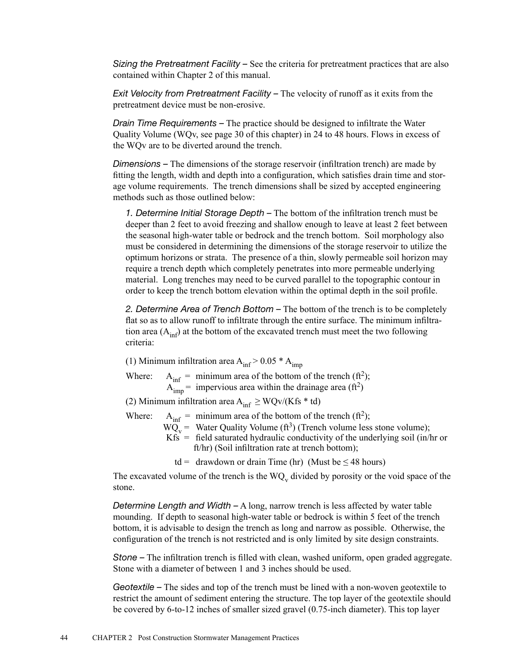*Sizing the Pretreatment Facility –* See the criteria for pretreatment practices that are also contained within Chapter 2 of this manual.

*Exit Velocity from Pretreatment Facility –* The velocity of runoff as it exits from the pretreatment device must be non-erosive.

*Drain Time Requirements –* The practice should be designed to infiltrate the Water Quality Volume (WQv, see page 30 of this chapter) in 24 to 48 hours. Flows in excess of the WQv are to be diverted around the trench.

*Dimensions –* The dimensions of the storage reservoir (infiltration trench) are made by fitting the length, width and depth into a configuration, which satisfies drain time and storage volume requirements. The trench dimensions shall be sized by accepted engineering methods such as those outlined below:

*1. Determine Initial Storage Depth –* The bottom of the infiltration trench must be deeper than 2 feet to avoid freezing and shallow enough to leave at least 2 feet between the seasonal high-water table or bedrock and the trench bottom. Soil morphology also must be considered in determining the dimensions of the storage reservoir to utilize the optimum horizons or strata. The presence of a thin, slowly permeable soil horizon may require a trench depth which completely penetrates into more permeable underlying material. Long trenches may need to be curved parallel to the topographic contour in order to keep the trench bottom elevation within the optimal depth in the soil profile.

*2. Determine Area of Trench Bottom –* The bottom of the trench is to be completely flat so as to allow runoff to infiltrate through the entire surface. The minimum infiltration area  $(A_{\text{inf}})$  at the bottom of the excavated trench must meet the two following criteria:

(1) Minimum infiltration area  $A_{\text{inf}}$  > 0.05  $*$   $A_{\text{imn}}$ 

Where:  $A_{\text{inf}} = \text{minimum area of the bottom of the trend (ft}^2);$  $A_{\text{imp}}^{\text{m}}$  = impervious area within the drainage area (ft<sup>2</sup>)

(2) Minimum infiltration area  $A_{inf} \geq WQv/(Kfs * td)$ 

Where:  $A_{\text{inf}} = \text{minimum area of the bottom of the trend (ft}^2);$ 

- $\overline{WQ_y}$  = Water Quality Volume (ft<sup>3</sup>) (Trench volume less stone volume);
- $Kfs =$  field saturated hydraulic conductivity of the underlying soil (in/hr or ft/hr) (Soil infiltration rate at trench bottom);

td = drawdown or drain Time (hr) (Must be  $\leq$  48 hours)

The excavated volume of the trench is the  $WQ_v$  divided by porosity or the void space of the stone.

*Determine Length and Width –* A long, narrow trench is less affected by water table mounding. If depth to seasonal high-water table or bedrock is within 5 feet of the trench bottom, it is advisable to design the trench as long and narrow as possible. Otherwise, the configuration of the trench is not restricted and is only limited by site design constraints.

*Stone –* The infiltration trench is filled with clean, washed uniform, open graded aggregate. Stone with a diameter of between 1 and 3 inches should be used.

*Geotextile –* The sides and top of the trench must be lined with a non-woven geotextile to restrict the amount of sediment entering the structure. The top layer of the geotextile should be covered by 6-to-12 inches of smaller sized gravel (0.75-inch diameter). This top layer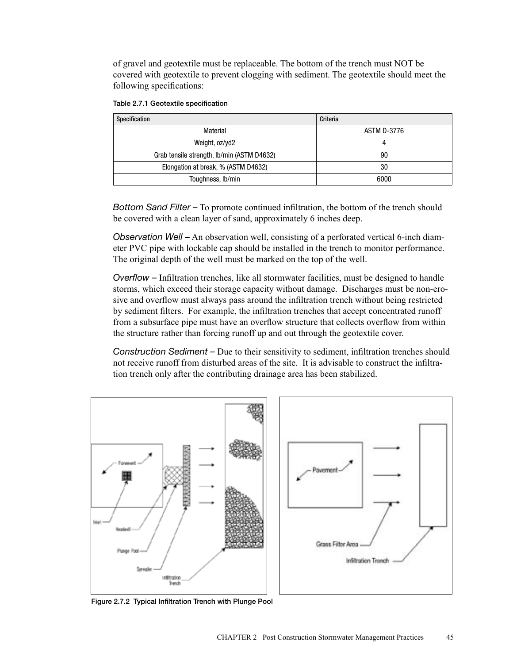of gravel and geotextile must be replaceable. The bottom of the trench must NOT be covered with geotextile to prevent clogging with sediment. The geotextile should meet the following specifications:

| Specification                              | Criteria    |
|--------------------------------------------|-------------|
| Material                                   | ASTM D-3776 |
| Weight, oz/yd2                             |             |
| Grab tensile strength, Ib/min (ASTM D4632) | 90          |
| Elongation at break, % (ASTM D4632)        | 30          |
| Toughness, Ib/min                          | 6000        |

|  |  | Table 2.7.1 Geotextile specification |
|--|--|--------------------------------------|
|--|--|--------------------------------------|

*Bottom Sand Filter –* To promote continued infiltration, the bottom of the trench should be covered with a clean layer of sand, approximately 6 inches deep.

*Observation Well –* An observation well, consisting of a perforated vertical 6-inch diameter PVC pipe with lockable cap should be installed in the trench to monitor performance. The original depth of the well must be marked on the top of the well.

*Overflow –* Infiltration trenches, like all stormwater facilities, must be designed to handle storms, which exceed their storage capacity without damage. Discharges must be non-erosive and overflow must always pass around the infiltration trench without being restricted by sediment filters. For example, the infiltration trenches that accept concentrated runoff from a subsurface pipe must have an overflow structure that collects overflow from within the structure rather than forcing runoff up and out through the geotextile cover.

*Construction Sediment –* Due to their sensitivity to sediment, infiltration trenches should not receive runoff from disturbed areas of the site. It is advisable to construct the infiltration trench only after the contributing drainage area has been stabilized.



Figure 2.7.2 Typical Infiltration Trench with Plunge Pool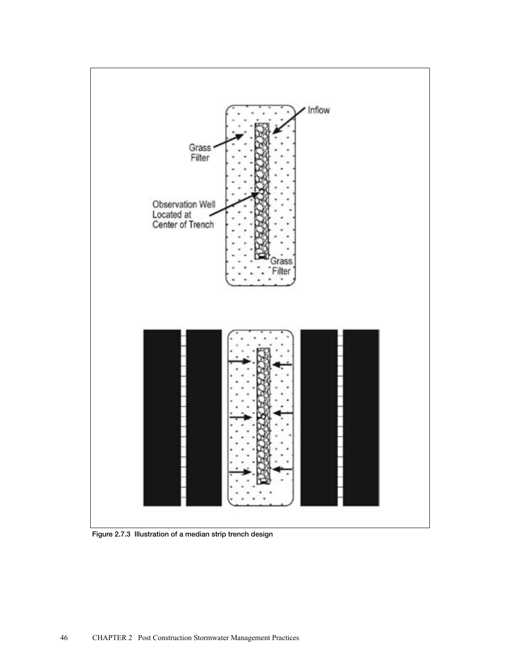

Figure 2.7.3 Illustration of a median strip trench design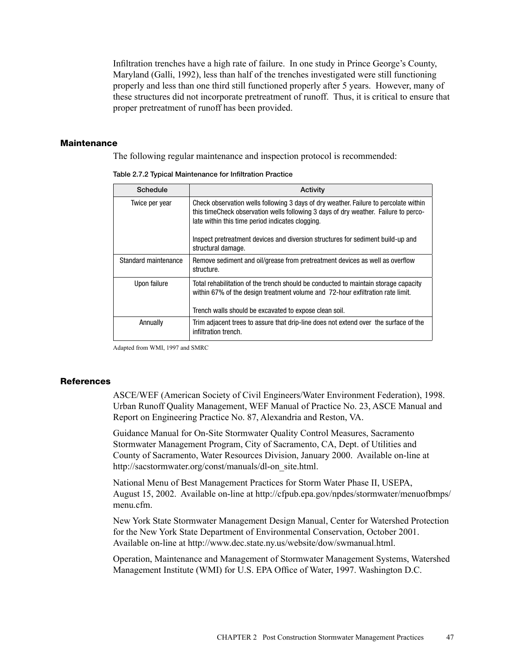Infiltration trenches have a high rate of failure. In one study in Prince George's County, Maryland (Galli, 1992), less than half of the trenches investigated were still functioning properly and less than one third still functioned properly after 5 years. However, many of these structures did not incorporate pretreatment of runoff. Thus, it is critical to ensure that proper pretreatment of runoff has been provided.

#### **Maintenance**

The following regular maintenance and inspection protocol is recommended:

| Schedule             | Activity                                                                                                                                                                                                                         |
|----------------------|----------------------------------------------------------------------------------------------------------------------------------------------------------------------------------------------------------------------------------|
| Twice per year       | Check observation wells following 3 days of dry weather. Failure to percolate within<br>this time Check observation wells following 3 days of dry weather. Failure to perco-<br>late within this time period indicates clogging. |
|                      | Inspect pretreatment devices and diversion structures for sediment build-up and<br>structural damage.                                                                                                                            |
| Standard maintenance | Remove sediment and oil/grease from pretreatment devices as well as overflow<br>structure.                                                                                                                                       |
| Upon failure         | Total rehabilitation of the trench should be conducted to maintain storage capacity<br>within 67% of the design treatment volume and 72-hour exfiltration rate limit.<br>Trench walls should be excavated to expose clean soil.  |
| Annually             | Trim adjacent trees to assure that drip-line does not extend over the surface of the<br>infiltration trench.                                                                                                                     |

Table 2.7.2 Typical Maintenance for Infiltration Practice

Adapted from WMI, 1997 and SMRC

#### **References**

ASCE/WEF (American Society of Civil Engineers/Water Environment Federation), 1998. Urban Runoff Quality Management, WEF Manual of Practice No. 23, ASCE Manual and Report on Engineering Practice No. 87, Alexandria and Reston, VA.

Guidance Manual for On-Site Stormwater Quality Control Measures, Sacramento Stormwater Management Program, City of Sacramento, CA, Dept. of Utilities and County of Sacramento, Water Resources Division, January 2000. Available on-line at http://sacstormwater.org/const/manuals/dl-on\_site.html.

National Menu of Best Management Practices for Storm Water Phase II, USEPA, August 15, 2002. Available on-line at http://cfpub.epa.gov/npdes/stormwater/menuofbmps/ menu.cfm.

New York State Stormwater Management Design Manual, Center for Watershed Protection for the New York State Department of Environmental Conservation, October 2001. Available on-line at http://www.dec.state.ny.us/website/dow/swmanual.html.

Operation, Maintenance and Management of Stormwater Management Systems, Watershed Management Institute (WMI) for U.S. EPA Office of Water, 1997. Washington D.C.